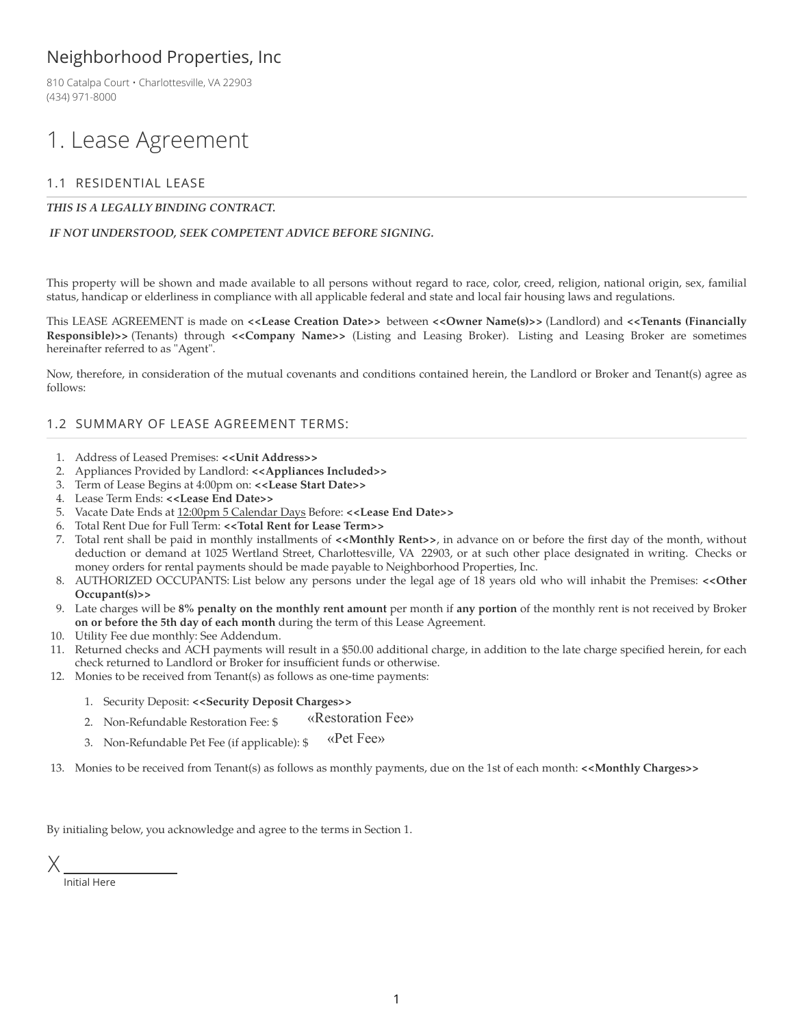### Neighborhood Properties, Inc

810 Catalpa Court • Charlottesville, VA 22903 (434) 971-8000

# 1. Lease Agreement

### 1.1 RESIDENTIAL LEASE

#### *THIS IS A LEGALLY BINDING CONTRACT.*

#### *IF NOT UNDERSTOOD, SEEK COMPETENT ADVICE BEFORE SIGNING.*

This property will be shown and made available to all persons without regard to race, color, creed, religion, national origin, sex, familial status, handicap or elderliness in compliance with all applicable federal and state and local fair housing laws and regulations.

This LEASE AGREEMENT is made on **<<Lease Creation Date>>** between **<<Owner Name(s)>>** (Landlord) and **<<Tenants (Financially Responsible)>>** (Tenants) through **<<Company Name>>** (Listing and Leasing Broker). Listing and Leasing Broker are sometimes hereinafter referred to as "Agent".

Now, therefore, in consideration of the mutual covenants and conditions contained herein, the Landlord or Broker and Tenant(s) agree as follows:

#### 1.2 SUMMARY OF LEASE AGREEMENT TERMS:

- 1. Address of Leased Premises: **<<Unit Address>>**
- 2. Appliances Provided by Landlord: **<<Appliances Included>>**
- 3. Term of Lease Begins at 4:00pm on: **<<Lease Start Date>>**
- 4. Lease Term Ends: **<<Lease End Date>>**
- 5. Vacate Date Ends at 12:00pm 5 Calendar Days Before: **<<Lease End Date>>**
- 6. Total Rent Due for Full Term: **<<Total Rent for Lease Term>>**
- 7. Total rent shall be paid in monthly installments of **<<Monthly Rent>>**, in advance on or before the first day of the month, without deduction or demand at 1025 Wertland Street, Charlottesville, VA 22903, or at such other place designated in writing. Checks or money orders for rental payments should be made payable to Neighborhood Properties, Inc.
- 8. AUTHORIZED OCCUPANTS: List below any persons under the legal age of 18 years old who will inhabit the Premises: **<<Other Occupant(s)>>**
- 9. Late charges will be **8% penalty on the monthly rent amount** per month if **any portion** of the monthly rent is not received by Broker **on or before the 5th day of each month** during the term of this Lease Agreement.
- 10. Utility Fee due monthly: See Addendum.
- 11. Returned checks and ACH payments will result in a \$50.00 additional charge, in addition to the late charge specified herein, for each check returned to Landlord or Broker for insufficient funds or otherwise.
- 12. Monies to be received from Tenant(s) as follows as one-time payments:
	- 1. Security Deposit: **<<Security Deposit Charges>>**
	- 2. Non-Refundable Restoration Fee: \$ «Restoration Fee»
	- 3. Non-Refundable Pet Fee (if applicable): \$ «Pet Fee»

13. Monies to be received from Tenant(s) as follows as monthly payments, due on the 1st of each month: **<<Monthly Charges>>**

By initialing below, you acknowledge and agree to the terms in Section 1.

Initial Here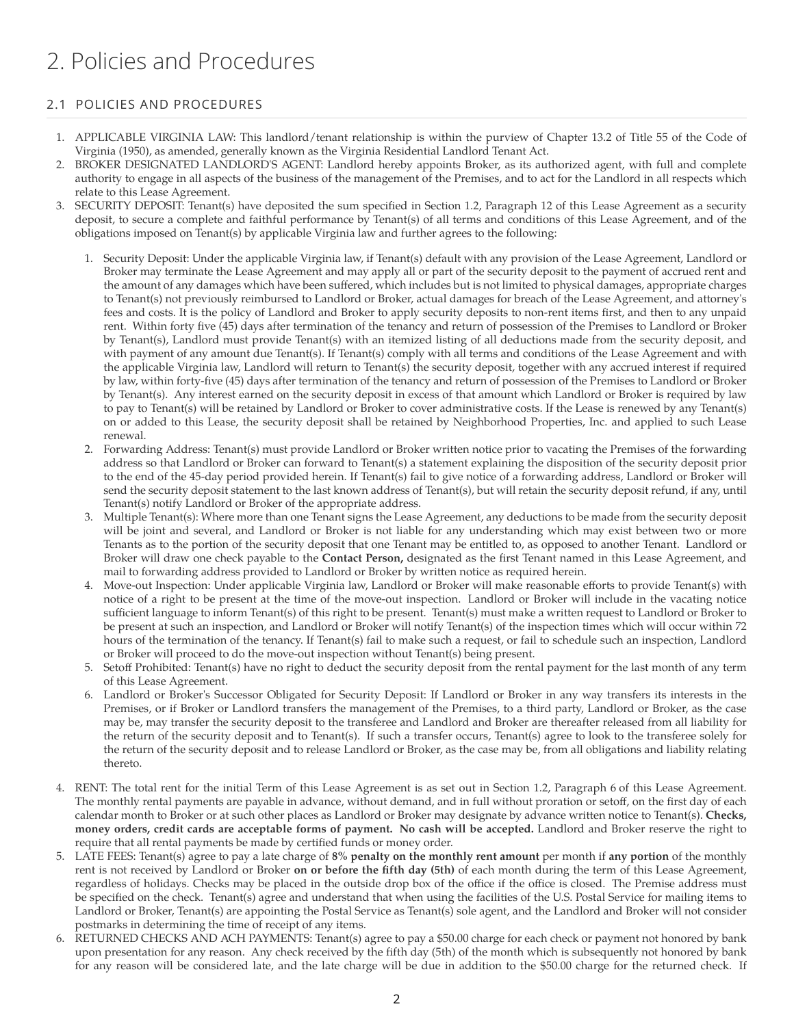# 2. Policies and Procedures

### 2.1 POLICIES AND PROCEDURES

- 1. APPLICABLE VIRGINIA LAW: This landlord/tenant relationship is within the purview of Chapter 13.2 of Title 55 of the Code of Virginia (1950), as amended, generally known as the Virginia Residential Landlord Tenant Act.
- 2. BROKER DESIGNATED LANDLORD'S AGENT: Landlord hereby appoints Broker, as its authorized agent, with full and complete authority to engage in all aspects of the business of the management of the Premises, and to act for the Landlord in all respects which relate to this Lease Agreement.
- 3. SECURITY DEPOSIT: Tenant(s) have deposited the sum specified in Section 1.2, Paragraph 12 of this Lease Agreement as a security deposit, to secure a complete and faithful performance by Tenant(s) of all terms and conditions of this Lease Agreement, and of the obligations imposed on Tenant(s) by applicable Virginia law and further agrees to the following:
	- 1. Security Deposit: Under the applicable Virginia law, if Tenant(s) default with any provision of the Lease Agreement, Landlord or Broker may terminate the Lease Agreement and may apply all or part of the security deposit to the payment of accrued rent and the amount of any damages which have been suffered, which includes but is not limited to physical damages, appropriate charges to Tenant(s) not previously reimbursed to Landlord or Broker, actual damages for breach of the Lease Agreement, and attorney's fees and costs. It is the policy of Landlord and Broker to apply security deposits to non-rent items first, and then to any unpaid rent. Within forty five (45) days after termination of the tenancy and return of possession of the Premises to Landlord or Broker by Tenant(s), Landlord must provide Tenant(s) with an itemized listing of all deductions made from the security deposit, and with payment of any amount due Tenant(s). If Tenant(s) comply with all terms and conditions of the Lease Agreement and with the applicable Virginia law, Landlord will return to Tenant(s) the security deposit, together with any accrued interest if required by law, within forty-five (45) days after termination of the tenancy and return of possession of the Premises to Landlord or Broker by Tenant(s). Any interest earned on the security deposit in excess of that amount which Landlord or Broker is required by law to pay to Tenant(s) will be retained by Landlord or Broker to cover administrative costs. If the Lease is renewed by any Tenant(s) on or added to this Lease, the security deposit shall be retained by Neighborhood Properties, Inc. and applied to such Lease renewal.
	- 2. Forwarding Address: Tenant(s) must provide Landlord or Broker written notice prior to vacating the Premises of the forwarding address so that Landlord or Broker can forward to Tenant(s) a statement explaining the disposition of the security deposit prior to the end of the 45-day period provided herein. If Tenant(s) fail to give notice of a forwarding address, Landlord or Broker will send the security deposit statement to the last known address of Tenant(s), but will retain the security deposit refund, if any, until Tenant(s) notify Landlord or Broker of the appropriate address.
	- 3. Multiple Tenant(s): Where more than one Tenant signs the Lease Agreement, any deductions to be made from the security deposit will be joint and several, and Landlord or Broker is not liable for any understanding which may exist between two or more Tenants as to the portion of the security deposit that one Tenant may be entitled to, as opposed to another Tenant. Landlord or Broker will draw one check payable to the **Contact Person,** designated as the first Tenant named in this Lease Agreement, and mail to forwarding address provided to Landlord or Broker by written notice as required herein.
	- 4. Move-out Inspection: Under applicable Virginia law, Landlord or Broker will make reasonable efforts to provide Tenant(s) with notice of a right to be present at the time of the move-out inspection. Landlord or Broker will include in the vacating notice sufficient language to inform Tenant(s) of this right to be present. Tenant(s) must make a written request to Landlord or Broker to be present at such an inspection, and Landlord or Broker will notify Tenant(s) of the inspection times which will occur within 72 hours of the termination of the tenancy. If Tenant(s) fail to make such a request, or fail to schedule such an inspection, Landlord or Broker will proceed to do the move-out inspection without Tenant(s) being present.
	- 5. Setoff Prohibited: Tenant(s) have no right to deduct the security deposit from the rental payment for the last month of any term of this Lease Agreement.
	- 6. Landlord or Broker's Successor Obligated for Security Deposit: If Landlord or Broker in any way transfers its interests in the Premises, or if Broker or Landlord transfers the management of the Premises, to a third party, Landlord or Broker, as the case may be, may transfer the security deposit to the transferee and Landlord and Broker are thereafter released from all liability for the return of the security deposit and to Tenant(s). If such a transfer occurs, Tenant(s) agree to look to the transferee solely for the return of the security deposit and to release Landlord or Broker, as the case may be, from all obligations and liability relating thereto.
- 4. RENT: The total rent for the initial Term of this Lease Agreement is as set out in Section 1.2, Paragraph 6 of this Lease Agreement. The monthly rental payments are payable in advance, without demand, and in full without proration or setoff, on the first day of each calendar month to Broker or at such other places as Landlord or Broker may designate by advance written notice to Tenant(s). **Checks, money orders, credit cards are acceptable forms of payment. No cash will be accepted.** Landlord and Broker reserve the right to require that all rental payments be made by certified funds or money order.
- 5. LATE FEES: Tenant(s) agree to pay a late charge of **8% penalty on the monthly rent amount** per month if **any portion** of the monthly rent is not received by Landlord or Broker **on or before the fifth day (5th)** of each month during the term of this Lease Agreement, regardless of holidays. Checks may be placed in the outside drop box of the office if the office is closed. The Premise address must be specified on the check. Tenant(s) agree and understand that when using the facilities of the U.S. Postal Service for mailing items to Landlord or Broker, Tenant(s) are appointing the Postal Service as Tenant(s) sole agent, and the Landlord and Broker will not consider postmarks in determining the time of receipt of any items.
- 6. RETURNED CHECKS AND ACH PAYMENTS: Tenant(s) agree to pay a \$50.00 charge for each check or payment not honored by bank upon presentation for any reason. Any check received by the fifth day (5th) of the month which is subsequently not honored by bank for any reason will be considered late, and the late charge will be due in addition to the \$50.00 charge for the returned check. If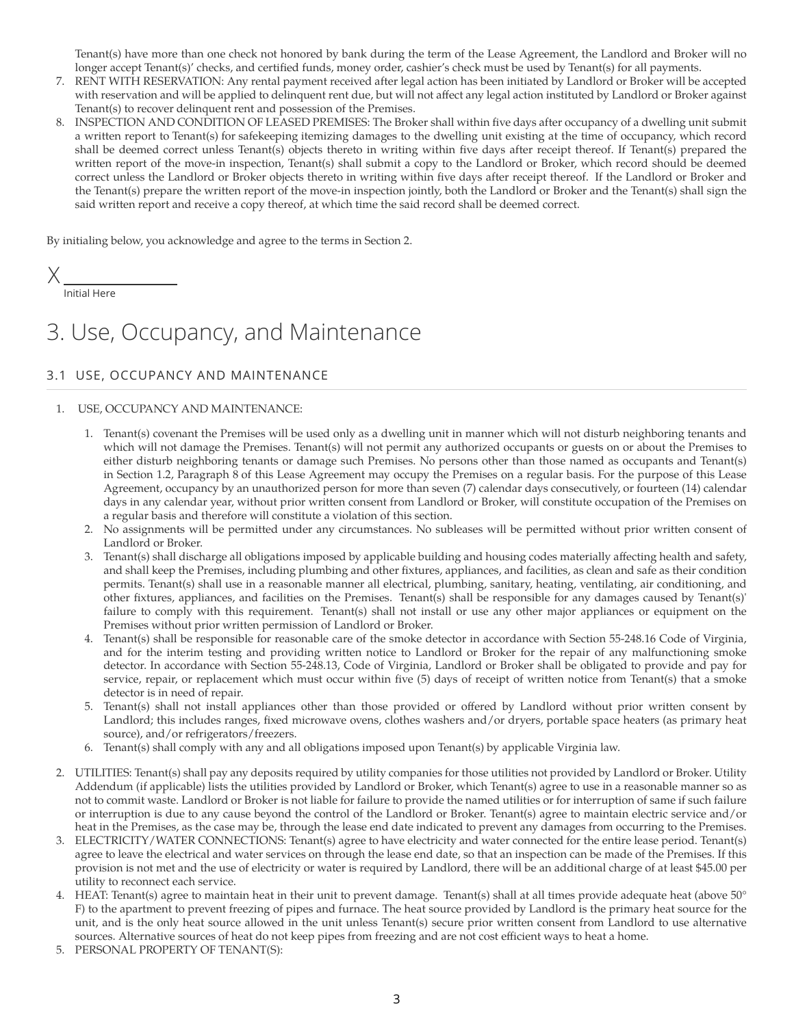Tenant(s) have more than one check not honored by bank during the term of the Lease Agreement, the Landlord and Broker will no longer accept Tenant(s)' checks, and certified funds, money order, cashier's check must be used by Tenant(s) for all payments.

- 7. RENT WITH RESERVATION: Any rental payment received after legal action has been initiated by Landlord or Broker will be accepted with reservation and will be applied to delinquent rent due, but will not affect any legal action instituted by Landlord or Broker against Tenant(s) to recover delinquent rent and possession of the Premises.
- 8. INSPECTION AND CONDITION OF LEASED PREMISES: The Broker shall within five days after occupancy of a dwelling unit submit a written report to Tenant(s) for safekeeping itemizing damages to the dwelling unit existing at the time of occupancy, which record shall be deemed correct unless Tenant(s) objects thereto in writing within five days after receipt thereof. If Tenant(s) prepared the written report of the move-in inspection, Tenant(s) shall submit a copy to the Landlord or Broker, which record should be deemed correct unless the Landlord or Broker objects thereto in writing within five days after receipt thereof. If the Landlord or Broker and the Tenant(s) prepare the written report of the move-in inspection jointly, both the Landlord or Broker and the Tenant(s) shall sign the said written report and receive a copy thereof, at which time the said record shall be deemed correct.

By initialing below, you acknowledge and agree to the terms in Section 2.

X

Initial Here

# 3. Use, Occupancy, and Maintenance

### 3.1 USE, OCCUPANCY AND MAINTENANCE

#### 1. USE, OCCUPANCY AND MAINTENANCE:

- 1. Tenant(s) covenant the Premises will be used only as a dwelling unit in manner which will not disturb neighboring tenants and which will not damage the Premises. Tenant(s) will not permit any authorized occupants or guests on or about the Premises to either disturb neighboring tenants or damage such Premises. No persons other than those named as occupants and Tenant(s) in Section 1.2, Paragraph 8 of this Lease Agreement may occupy the Premises on a regular basis. For the purpose of this Lease Agreement, occupancy by an unauthorized person for more than seven (7) calendar days consecutively, or fourteen (14) calendar days in any calendar year, without prior written consent from Landlord or Broker, will constitute occupation of the Premises on a regular basis and therefore will constitute a violation of this section.
- 2. No assignments will be permitted under any circumstances. No subleases will be permitted without prior written consent of Landlord or Broker.
- 3. Tenant(s) shall discharge all obligations imposed by applicable building and housing codes materially affecting health and safety, and shall keep the Premises, including plumbing and other fixtures, appliances, and facilities, as clean and safe as their condition permits. Tenant(s) shall use in a reasonable manner all electrical, plumbing, sanitary, heating, ventilating, air conditioning, and other fixtures, appliances, and facilities on the Premises. Tenant(s) shall be responsible for any damages caused by Tenant(s)' failure to comply with this requirement. Tenant(s) shall not install or use any other major appliances or equipment on the Premises without prior written permission of Landlord or Broker.
- 4. Tenant(s) shall be responsible for reasonable care of the smoke detector in accordance with Section 55-248.16 Code of Virginia, and for the interim testing and providing written notice to Landlord or Broker for the repair of any malfunctioning smoke detector. In accordance with Section 55-248.13, Code of Virginia, Landlord or Broker shall be obligated to provide and pay for service, repair, or replacement which must occur within five (5) days of receipt of written notice from Tenant(s) that a smoke detector is in need of repair.
- 5. Tenant(s) shall not install appliances other than those provided or offered by Landlord without prior written consent by Landlord; this includes ranges, fixed microwave ovens, clothes washers and/or dryers, portable space heaters (as primary heat source), and/or refrigerators/freezers.
- 6. Tenant(s) shall comply with any and all obligations imposed upon Tenant(s) by applicable Virginia law.
- 2. UTILITIES: Tenant(s) shall pay any deposits required by utility companies for those utilities not provided by Landlord or Broker. Utility Addendum (if applicable) lists the utilities provided by Landlord or Broker, which Tenant(s) agree to use in a reasonable manner so as not to commit waste. Landlord or Broker is not liable for failure to provide the named utilities or for interruption of same if such failure or interruption is due to any cause beyond the control of the Landlord or Broker. Tenant(s) agree to maintain electric service and/or heat in the Premises, as the case may be, through the lease end date indicated to prevent any damages from occurring to the Premises.
- 3. ELECTRICITY/WATER CONNECTIONS: Tenant(s) agree to have electricity and water connected for the entire lease period. Tenant(s) agree to leave the electrical and water services on through the lease end date, so that an inspection can be made of the Premises. If this provision is not met and the use of electricity or water is required by Landlord, there will be an additional charge of at least \$45.00 per utility to reconnect each service.
- HEAT: Tenant(s) agree to maintain heat in their unit to prevent damage. Tenant(s) shall at all times provide adequate heat (above 50° F) to the apartment to prevent freezing of pipes and furnace. The heat source provided by Landlord is the primary heat source for the unit, and is the only heat source allowed in the unit unless Tenant(s) secure prior written consent from Landlord to use alternative sources. Alternative sources of heat do not keep pipes from freezing and are not cost efficient ways to heat a home.
- 5. PERSONAL PROPERTY OF TENANT(S):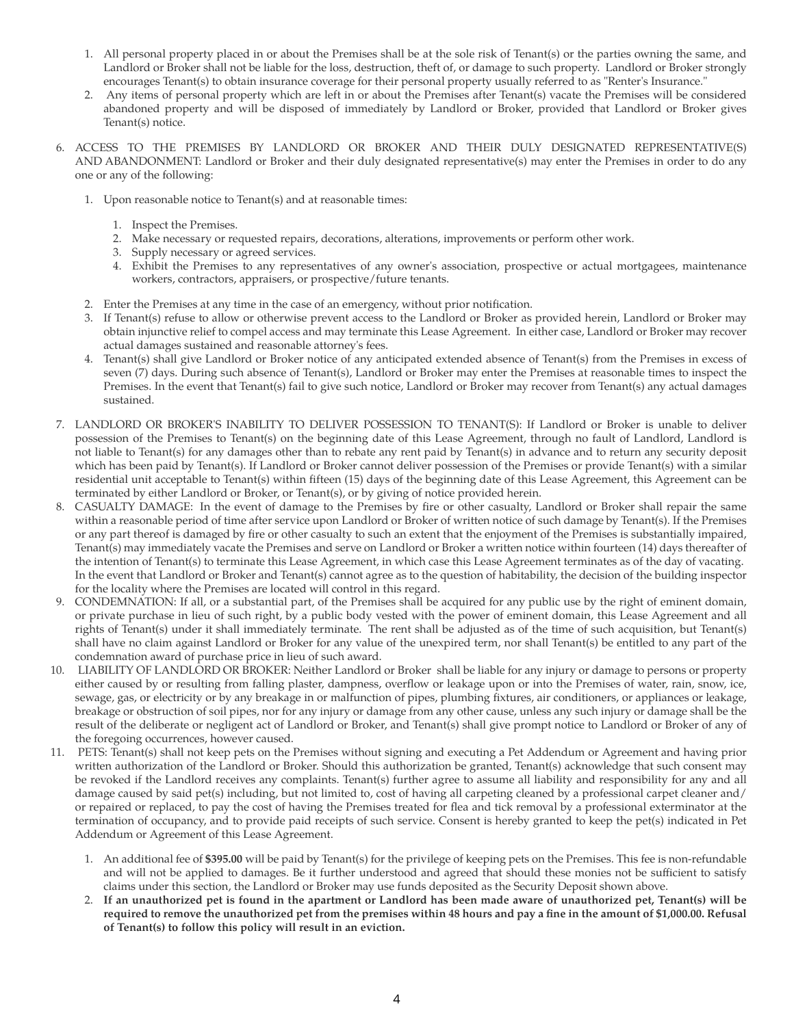- 1. All personal property placed in or about the Premises shall be at the sole risk of Tenant(s) or the parties owning the same, and Landlord or Broker shall not be liable for the loss, destruction, theft of, or damage to such property. Landlord or Broker strongly encourages Tenant(s) to obtain insurance coverage for their personal property usually referred to as "Renter's Insurance."
- 2. Any items of personal property which are left in or about the Premises after Tenant(s) vacate the Premises will be considered abandoned property and will be disposed of immediately by Landlord or Broker, provided that Landlord or Broker gives Tenant(s) notice.
- 6. ACCESS TO THE PREMISES BY LANDLORD OR BROKER AND THEIR DULY DESIGNATED REPRESENTATIVE(S) AND ABANDONMENT: Landlord or Broker and their duly designated representative(s) may enter the Premises in order to do any one or any of the following:
	- 1. Upon reasonable notice to Tenant(s) and at reasonable times:
		- 1. Inspect the Premises.
		- 2. Make necessary or requested repairs, decorations, alterations, improvements or perform other work.
		- 3. Supply necessary or agreed services.
		- 4. Exhibit the Premises to any representatives of any owner's association, prospective or actual mortgagees, maintenance workers, contractors, appraisers, or prospective/future tenants.
	- 2. Enter the Premises at any time in the case of an emergency, without prior notification.
	- 3. If Tenant(s) refuse to allow or otherwise prevent access to the Landlord or Broker as provided herein, Landlord or Broker may obtain injunctive relief to compel access and may terminate this Lease Agreement. In either case, Landlord or Broker may recover actual damages sustained and reasonable attorney's fees.
	- 4. Tenant(s) shall give Landlord or Broker notice of any anticipated extended absence of Tenant(s) from the Premises in excess of seven (7) days. During such absence of Tenant(s), Landlord or Broker may enter the Premises at reasonable times to inspect the Premises. In the event that Tenant(s) fail to give such notice, Landlord or Broker may recover from Tenant(s) any actual damages sustained.
- 7. LANDLORD OR BROKER'S INABILITY TO DELIVER POSSESSION TO TENANT(S): If Landlord or Broker is unable to deliver possession of the Premises to Tenant(s) on the beginning date of this Lease Agreement, through no fault of Landlord, Landlord is not liable to Tenant(s) for any damages other than to rebate any rent paid by Tenant(s) in advance and to return any security deposit which has been paid by Tenant(s). If Landlord or Broker cannot deliver possession of the Premises or provide Tenant(s) with a similar residential unit acceptable to Tenant(s) within fifteen (15) days of the beginning date of this Lease Agreement, this Agreement can be terminated by either Landlord or Broker, or Tenant(s), or by giving of notice provided herein.
- 8. CASUALTY DAMAGE: In the event of damage to the Premises by fire or other casualty, Landlord or Broker shall repair the same within a reasonable period of time after service upon Landlord or Broker of written notice of such damage by Tenant(s). If the Premises or any part thereof is damaged by fire or other casualty to such an extent that the enjoyment of the Premises is substantially impaired, Tenant(s) may immediately vacate the Premises and serve on Landlord or Broker a written notice within fourteen (14) days thereafter of the intention of Tenant(s) to terminate this Lease Agreement, in which case this Lease Agreement terminates as of the day of vacating. In the event that Landlord or Broker and Tenant(s) cannot agree as to the question of habitability, the decision of the building inspector for the locality where the Premises are located will control in this regard.
- 9. CONDEMNATION: If all, or a substantial part, of the Premises shall be acquired for any public use by the right of eminent domain, or private purchase in lieu of such right, by a public body vested with the power of eminent domain, this Lease Agreement and all rights of Tenant(s) under it shall immediately terminate. The rent shall be adjusted as of the time of such acquisition, but Tenant(s) shall have no claim against Landlord or Broker for any value of the unexpired term, nor shall Tenant(s) be entitled to any part of the condemnation award of purchase price in lieu of such award.
- 10. LIABILITY OF LANDLORD OR BROKER: Neither Landlord or Broker shall be liable for any injury or damage to persons or property either caused by or resulting from falling plaster, dampness, overflow or leakage upon or into the Premises of water, rain, snow, ice, sewage, gas, or electricity or by any breakage in or malfunction of pipes, plumbing fixtures, air conditioners, or appliances or leakage, breakage or obstruction of soil pipes, nor for any injury or damage from any other cause, unless any such injury or damage shall be the result of the deliberate or negligent act of Landlord or Broker, and Tenant(s) shall give prompt notice to Landlord or Broker of any of the foregoing occurrences, however caused.
- 11. PETS: Tenant(s) shall not keep pets on the Premises without signing and executing a Pet Addendum or Agreement and having prior written authorization of the Landlord or Broker. Should this authorization be granted, Tenant(s) acknowledge that such consent may be revoked if the Landlord receives any complaints. Tenant(s) further agree to assume all liability and responsibility for any and all damage caused by said pet(s) including, but not limited to, cost of having all carpeting cleaned by a professional carpet cleaner and/ or repaired or replaced, to pay the cost of having the Premises treated for flea and tick removal by a professional exterminator at the termination of occupancy, and to provide paid receipts of such service. Consent is hereby granted to keep the pet(s) indicated in Pet Addendum or Agreement of this Lease Agreement.
	- 1. An additional fee of **\$395.00** will be paid by Tenant(s) for the privilege of keeping pets on the Premises. This fee is non-refundable and will not be applied to damages. Be it further understood and agreed that should these monies not be sufficient to satisfy claims under this section, the Landlord or Broker may use funds deposited as the Security Deposit shown above.
	- 2. If an unauthorized pet is found in the apartment or Landlord has been made aware of unauthorized pet, Tenant(s) will be required to remove the unauthorized pet from the premises within 48 hours and pay a fine in the amount of \$1,000.00. Refusal **of Tenant(s) to follow this policy will result in an eviction.**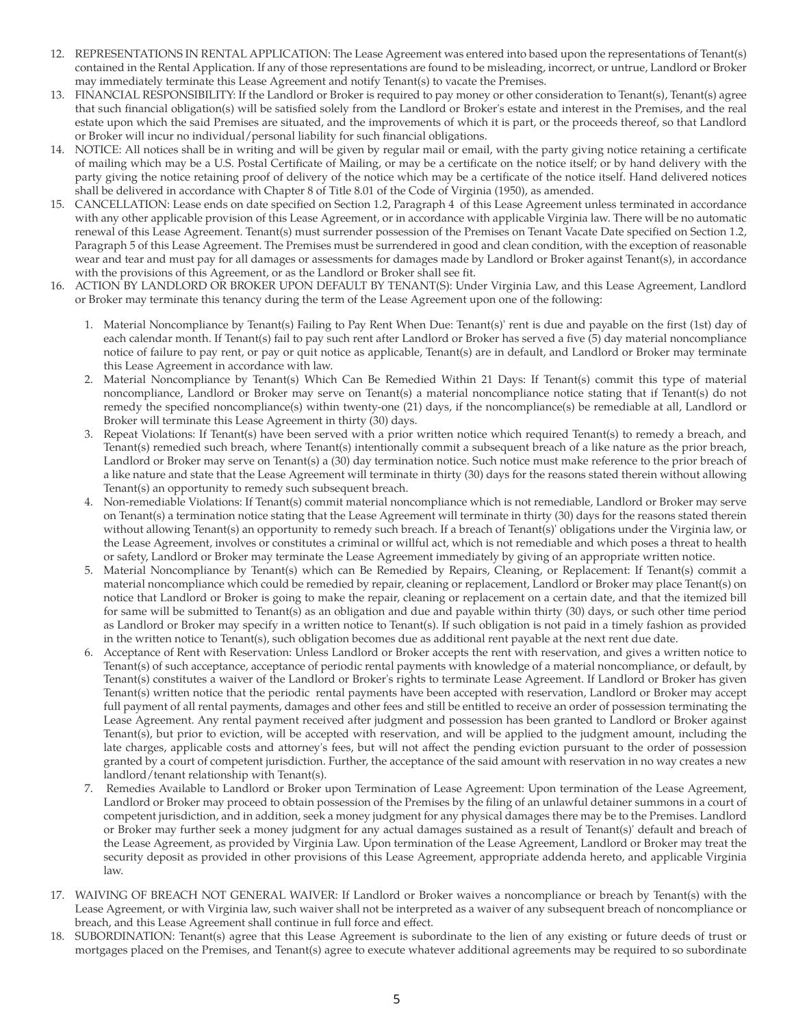- 12. REPRESENTATIONS IN RENTAL APPLICATION: The Lease Agreement was entered into based upon the representations of Tenant(s) contained in the Rental Application. If any of those representations are found to be misleading, incorrect, or untrue, Landlord or Broker may immediately terminate this Lease Agreement and notify Tenant(s) to vacate the Premises.
- 13. FINANCIAL RESPONSIBILITY: If the Landlord or Broker is required to pay money or other consideration to Tenant(s), Tenant(s) agree that such financial obligation(s) will be satisfied solely from the Landlord or Broker's estate and interest in the Premises, and the real estate upon which the said Premises are situated, and the improvements of which it is part, or the proceeds thereof, so that Landlord or Broker will incur no individual/personal liability for such financial obligations.
- 14. NOTICE: All notices shall be in writing and will be given by regular mail or email, with the party giving notice retaining a certificate of mailing which may be a U.S. Postal Certificate of Mailing, or may be a certificate on the notice itself; or by hand delivery with the party giving the notice retaining proof of delivery of the notice which may be a certificate of the notice itself. Hand delivered notices shall be delivered in accordance with Chapter 8 of Title 8.01 of the Code of Virginia (1950), as amended.
- 15. CANCELLATION: Lease ends on date specified on Section 1.2, Paragraph 4 of this Lease Agreement unless terminated in accordance with any other applicable provision of this Lease Agreement, or in accordance with applicable Virginia law. There will be no automatic renewal of this Lease Agreement. Tenant(s) must surrender possession of the Premises on Tenant Vacate Date specified on Section 1.2, Paragraph 5 of this Lease Agreement. The Premises must be surrendered in good and clean condition, with the exception of reasonable wear and tear and must pay for all damages or assessments for damages made by Landlord or Broker against Tenant(s), in accordance with the provisions of this Agreement, or as the Landlord or Broker shall see fit.
- 16. ACTION BY LANDLORD OR BROKER UPON DEFAULT BY TENANT(S): Under Virginia Law, and this Lease Agreement, Landlord or Broker may terminate this tenancy during the term of the Lease Agreement upon one of the following:
	- 1. Material Noncompliance by Tenant(s) Failing to Pay Rent When Due: Tenant(s)' rent is due and payable on the first (1st) day of each calendar month. If Tenant(s) fail to pay such rent after Landlord or Broker has served a five (5) day material noncompliance notice of failure to pay rent, or pay or quit notice as applicable, Tenant(s) are in default, and Landlord or Broker may terminate this Lease Agreement in accordance with law.
	- 2. Material Noncompliance by Tenant(s) Which Can Be Remedied Within 21 Days: If Tenant(s) commit this type of material noncompliance, Landlord or Broker may serve on Tenant(s) a material noncompliance notice stating that if Tenant(s) do not remedy the specified noncompliance(s) within twenty-one (21) days, if the noncompliance(s) be remediable at all, Landlord or Broker will terminate this Lease Agreement in thirty (30) days.
	- 3. Repeat Violations: If Tenant(s) have been served with a prior written notice which required Tenant(s) to remedy a breach, and Tenant(s) remedied such breach, where Tenant(s) intentionally commit a subsequent breach of a like nature as the prior breach, Landlord or Broker may serve on Tenant(s) a (30) day termination notice. Such notice must make reference to the prior breach of a like nature and state that the Lease Agreement will terminate in thirty (30) days for the reasons stated therein without allowing Tenant(s) an opportunity to remedy such subsequent breach.
	- 4. Non-remediable Violations: If Tenant(s) commit material noncompliance which is not remediable, Landlord or Broker may serve on Tenant(s) a termination notice stating that the Lease Agreement will terminate in thirty (30) days for the reasons stated therein without allowing Tenant(s) an opportunity to remedy such breach. If a breach of Tenant(s)' obligations under the Virginia law, or the Lease Agreement, involves or constitutes a criminal or willful act, which is not remediable and which poses a threat to health or safety, Landlord or Broker may terminate the Lease Agreement immediately by giving of an appropriate written notice.
	- 5. Material Noncompliance by Tenant(s) which can Be Remedied by Repairs, Cleaning, or Replacement: If Tenant(s) commit a material noncompliance which could be remedied by repair, cleaning or replacement, Landlord or Broker may place Tenant(s) on notice that Landlord or Broker is going to make the repair, cleaning or replacement on a certain date, and that the itemized bill for same will be submitted to Tenant(s) as an obligation and due and payable within thirty (30) days, or such other time period as Landlord or Broker may specify in a written notice to Tenant(s). If such obligation is not paid in a timely fashion as provided in the written notice to Tenant(s), such obligation becomes due as additional rent payable at the next rent due date.
	- 6. Acceptance of Rent with Reservation: Unless Landlord or Broker accepts the rent with reservation, and gives a written notice to Tenant(s) of such acceptance, acceptance of periodic rental payments with knowledge of a material noncompliance, or default, by Tenant(s) constitutes a waiver of the Landlord or Broker's rights to terminate Lease Agreement. If Landlord or Broker has given Tenant(s) written notice that the periodic rental payments have been accepted with reservation, Landlord or Broker may accept full payment of all rental payments, damages and other fees and still be entitled to receive an order of possession terminating the Lease Agreement. Any rental payment received after judgment and possession has been granted to Landlord or Broker against Tenant(s), but prior to eviction, will be accepted with reservation, and will be applied to the judgment amount, including the late charges, applicable costs and attorney's fees, but will not affect the pending eviction pursuant to the order of possession granted by a court of competent jurisdiction. Further, the acceptance of the said amount with reservation in no way creates a new landlord/tenant relationship with Tenant(s).
	- 7. Remedies Available to Landlord or Broker upon Termination of Lease Agreement: Upon termination of the Lease Agreement, Landlord or Broker may proceed to obtain possession of the Premises by the filing of an unlawful detainer summons in a court of competent jurisdiction, and in addition, seek a money judgment for any physical damages there may be to the Premises. Landlord or Broker may further seek a money judgment for any actual damages sustained as a result of Tenant(s)' default and breach of the Lease Agreement, as provided by Virginia Law. Upon termination of the Lease Agreement, Landlord or Broker may treat the security deposit as provided in other provisions of this Lease Agreement, appropriate addenda hereto, and applicable Virginia law.
- 17. WAIVING OF BREACH NOT GENERAL WAIVER: If Landlord or Broker waives a noncompliance or breach by Tenant(s) with the Lease Agreement, or with Virginia law, such waiver shall not be interpreted as a waiver of any subsequent breach of noncompliance or breach, and this Lease Agreement shall continue in full force and effect.
- 18. SUBORDINATION: Tenant(s) agree that this Lease Agreement is subordinate to the lien of any existing or future deeds of trust or mortgages placed on the Premises, and Tenant(s) agree to execute whatever additional agreements may be required to so subordinate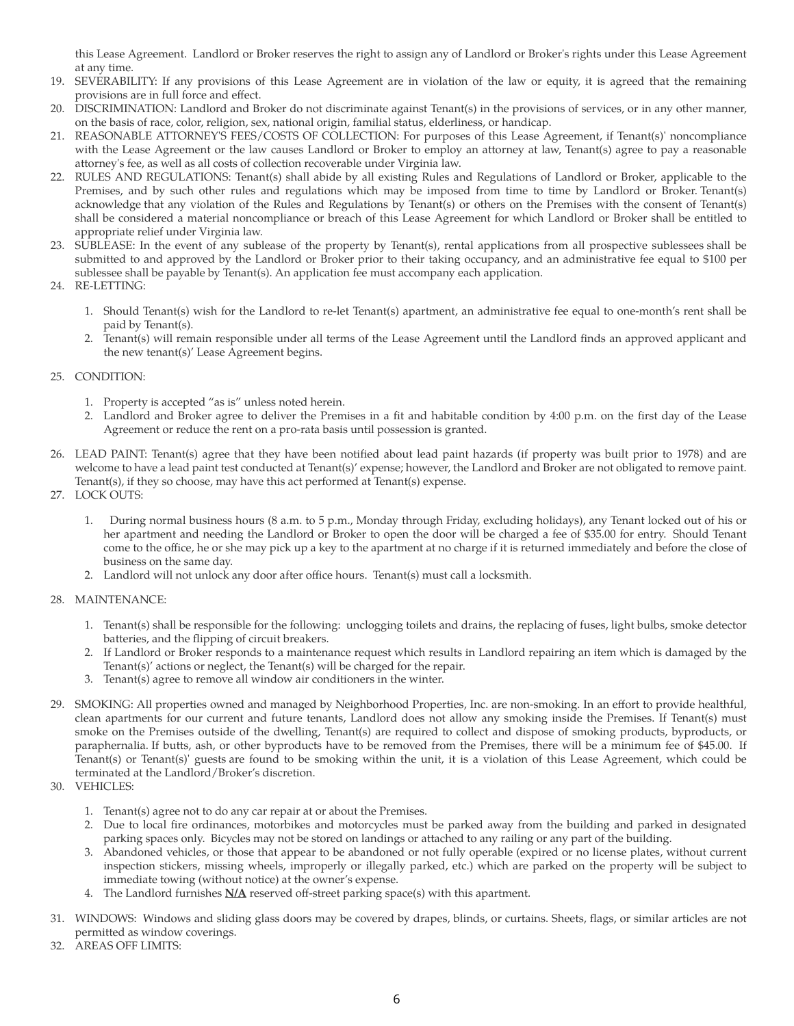this Lease Agreement. Landlord or Broker reserves the right to assign any of Landlord or Broker's rights under this Lease Agreement at any time.

- 19. SEVERABILITY: If any provisions of this Lease Agreement are in violation of the law or equity, it is agreed that the remaining provisions are in full force and effect.
- 20. DISCRIMINATION: Landlord and Broker do not discriminate against Tenant(s) in the provisions of services, or in any other manner, on the basis of race, color, religion, sex, national origin, familial status, elderliness, or handicap.
- 21. REASONABLE ATTORNEY'S FEES/COSTS OF COLLECTION: For purposes of this Lease Agreement, if Tenant(s)' noncompliance with the Lease Agreement or the law causes Landlord or Broker to employ an attorney at law, Tenant(s) agree to pay a reasonable attorney's fee, as well as all costs of collection recoverable under Virginia law.
- 22. RULES AND REGULATIONS: Tenant(s) shall abide by all existing Rules and Regulations of Landlord or Broker, applicable to the Premises, and by such other rules and regulations which may be imposed from time to time by Landlord or Broker. Tenant(s) acknowledge that any violation of the Rules and Regulations by Tenant(s) or others on the Premises with the consent of Tenant(s) shall be considered a material noncompliance or breach of this Lease Agreement for which Landlord or Broker shall be entitled to appropriate relief under Virginia law.
- 23. SUBLEASE: In the event of any sublease of the property by Tenant(s), rental applications from all prospective sublessees shall be submitted to and approved by the Landlord or Broker prior to their taking occupancy, and an administrative fee equal to \$100 per sublessee shall be payable by Tenant(s). An application fee must accompany each application.
- 24. RE-LETTING:
	- 1. Should Tenant(s) wish for the Landlord to re-let Tenant(s) apartment, an administrative fee equal to one-month's rent shall be paid by Tenant(s).
	- 2. Tenant(s) will remain responsible under all terms of the Lease Agreement until the Landlord finds an approved applicant and the new tenant(s)' Lease Agreement begins.

#### 25. CONDITION:

- 1. Property is accepted "as is" unless noted herein.
- 2. Landlord and Broker agree to deliver the Premises in a fit and habitable condition by 4:00 p.m. on the first day of the Lease Agreement or reduce the rent on a pro-rata basis until possession is granted.
- 26. LEAD PAINT: Tenant(s) agree that they have been notified about lead paint hazards (if property was built prior to 1978) and are welcome to have a lead paint test conducted at Tenant(s)' expense; however, the Landlord and Broker are not obligated to remove paint. Tenant(s), if they so choose, may have this act performed at Tenant(s) expense.
- 27. LOCK OUTS:
	- 1. During normal business hours (8 a.m. to 5 p.m., Monday through Friday, excluding holidays), any Tenant locked out of his or her apartment and needing the Landlord or Broker to open the door will be charged a fee of \$35.00 for entry. Should Tenant come to the office, he or she may pick up a key to the apartment at no charge if it is returned immediately and before the close of business on the same day.
	- 2. Landlord will not unlock any door after office hours. Tenant(s) must call a locksmith.

#### 28. MAINTENANCE:

- 1. Tenant(s) shall be responsible for the following: unclogging toilets and drains, the replacing of fuses, light bulbs, smoke detector batteries, and the flipping of circuit breakers.
- 2. If Landlord or Broker responds to a maintenance request which results in Landlord repairing an item which is damaged by the Tenant(s)' actions or neglect, the Tenant(s) will be charged for the repair.
- 3. Tenant(s) agree to remove all window air conditioners in the winter.
- 29. SMOKING: All properties owned and managed by Neighborhood Properties, Inc. are non-smoking. In an effort to provide healthful, clean apartments for our current and future tenants, Landlord does not allow any smoking inside the Premises. If Tenant(s) must smoke on the Premises outside of the dwelling, Tenant(s) are required to collect and dispose of smoking products, byproducts, or paraphernalia. If butts, ash, or other byproducts have to be removed from the Premises, there will be a minimum fee of \$45.00. If Tenant(s) or Tenant(s)' guests are found to be smoking within the unit, it is a violation of this Lease Agreement, which could be terminated at the Landlord/Broker's discretion.
- 30. VEHICLES:
	- 1. Tenant(s) agree not to do any car repair at or about the Premises.
	- 2. Due to local fire ordinances, motorbikes and motorcycles must be parked away from the building and parked in designated parking spaces only. Bicycles may not be stored on landings or attached to any railing or any part of the building.
	- 3. Abandoned vehicles, or those that appear to be abandoned or not fully operable (expired or no license plates, without current inspection stickers, missing wheels, improperly or illegally parked, etc.) which are parked on the property will be subject to immediate towing (without notice) at the owner's expense.
	- 4. The Landlord furnishes **N/A** reserved off-street parking space(s) with this apartment.
- 31. WINDOWS: Windows and sliding glass doors may be covered by drapes, blinds, or curtains. Sheets, flags, or similar articles are not permitted as window coverings.
- 32. AREAS OFF LIMITS: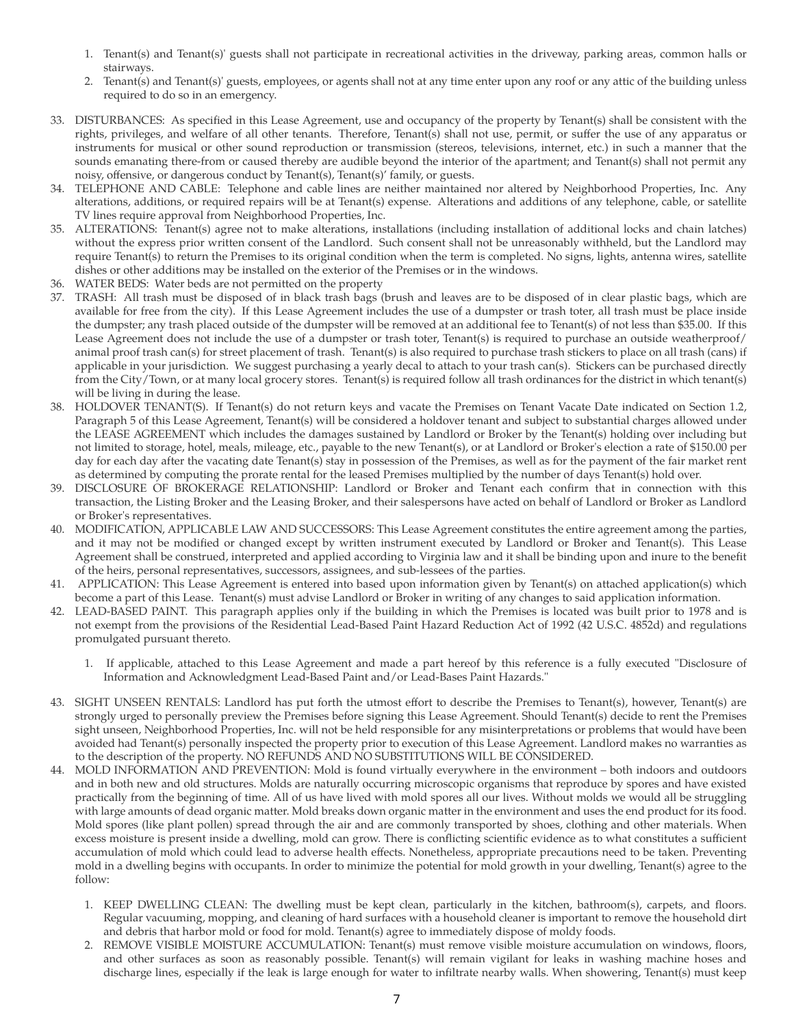- 1. Tenant(s) and Tenant(s)' guests shall not participate in recreational activities in the driveway, parking areas, common halls or stairways.
- 2. Tenant(s) and Tenant(s)' guests, employees, or agents shall not at any time enter upon any roof or any attic of the building unless required to do so in an emergency.
- 33. DISTURBANCES: As specified in this Lease Agreement, use and occupancy of the property by Tenant(s) shall be consistent with the rights, privileges, and welfare of all other tenants. Therefore, Tenant(s) shall not use, permit, or suffer the use of any apparatus or instruments for musical or other sound reproduction or transmission (stereos, televisions, internet, etc.) in such a manner that the sounds emanating there-from or caused thereby are audible beyond the interior of the apartment; and Tenant(s) shall not permit any noisy, offensive, or dangerous conduct by Tenant(s), Tenant(s)' family, or guests.
- 34. TELEPHONE AND CABLE: Telephone and cable lines are neither maintained nor altered by Neighborhood Properties, Inc. Any alterations, additions, or required repairs will be at Tenant(s) expense. Alterations and additions of any telephone, cable, or satellite TV lines require approval from Neighborhood Properties, Inc.
- 35. ALTERATIONS: Tenant(s) agree not to make alterations, installations (including installation of additional locks and chain latches) without the express prior written consent of the Landlord. Such consent shall not be unreasonably withheld, but the Landlord may require Tenant(s) to return the Premises to its original condition when the term is completed. No signs, lights, antenna wires, satellite dishes or other additions may be installed on the exterior of the Premises or in the windows.
- 36. WATER BEDS: Water beds are not permitted on the property
- 37. TRASH: All trash must be disposed of in black trash bags (brush and leaves are to be disposed of in clear plastic bags, which are available for free from the city). If this Lease Agreement includes the use of a dumpster or trash toter, all trash must be place inside the dumpster; any trash placed outside of the dumpster will be removed at an additional fee to Tenant(s) of not less than \$35.00. If this Lease Agreement does not include the use of a dumpster or trash toter, Tenant(s) is required to purchase an outside weatherproof/ animal proof trash can(s) for street placement of trash. Tenant(s) is also required to purchase trash stickers to place on all trash (cans) if applicable in your jurisdiction. We suggest purchasing a yearly decal to attach to your trash can(s). Stickers can be purchased directly from the City/Town, or at many local grocery stores. Tenant(s) is required follow all trash ordinances for the district in which tenant(s) will be living in during the lease.
- 38. HOLDOVER TENANT(S). If Tenant(s) do not return keys and vacate the Premises on Tenant Vacate Date indicated on Section 1.2, Paragraph 5 of this Lease Agreement, Tenant(s) will be considered a holdover tenant and subject to substantial charges allowed under the LEASE AGREEMENT which includes the damages sustained by Landlord or Broker by the Tenant(s) holding over including but not limited to storage, hotel, meals, mileage, etc., payable to the new Tenant(s), or at Landlord or Broker's election a rate of \$150.00 per day for each day after the vacating date Tenant(s) stay in possession of the Premises, as well as for the payment of the fair market rent as determined by computing the prorate rental for the leased Premises multiplied by the number of days Tenant(s) hold over.
- 39. DISCLOSURE OF BROKERAGE RELATIONSHIP: Landlord or Broker and Tenant each confirm that in connection with this transaction, the Listing Broker and the Leasing Broker, and their salespersons have acted on behalf of Landlord or Broker as Landlord or Broker's representatives.
- 40. MODIFICATION, APPLICABLE LAW AND SUCCESSORS: This Lease Agreement constitutes the entire agreement among the parties, and it may not be modified or changed except by written instrument executed by Landlord or Broker and Tenant(s). This Lease Agreement shall be construed, interpreted and applied according to Virginia law and it shall be binding upon and inure to the benefit of the heirs, personal representatives, successors, assignees, and sub-lessees of the parties.
- 41. APPLICATION: This Lease Agreement is entered into based upon information given by Tenant(s) on attached application(s) which become a part of this Lease. Tenant(s) must advise Landlord or Broker in writing of any changes to said application information.
- 42. LEAD-BASED PAINT. This paragraph applies only if the building in which the Premises is located was built prior to 1978 and is not exempt from the provisions of the Residential Lead-Based Paint Hazard Reduction Act of 1992 (42 U.S.C. 4852d) and regulations promulgated pursuant thereto.
	- 1. If applicable, attached to this Lease Agreement and made a part hereof by this reference is a fully executed "Disclosure of Information and Acknowledgment Lead-Based Paint and/or Lead-Bases Paint Hazards."
- 43. SIGHT UNSEEN RENTALS: Landlord has put forth the utmost effort to describe the Premises to Tenant(s), however, Tenant(s) are strongly urged to personally preview the Premises before signing this Lease Agreement. Should Tenant(s) decide to rent the Premises sight unseen, Neighborhood Properties, Inc. will not be held responsible for any misinterpretations or problems that would have been avoided had Tenant(s) personally inspected the property prior to execution of this Lease Agreement. Landlord makes no warranties as to the description of the property. NO REFUNDS AND NO SUBSTITUTIONS WILL BE CONSIDERED.
- 44. MOLD INFORMATION AND PREVENTION: Mold is found virtually everywhere in the environment both indoors and outdoors and in both new and old structures. Molds are naturally occurring microscopic organisms that reproduce by spores and have existed practically from the beginning of time. All of us have lived with mold spores all our lives. Without molds we would all be struggling with large amounts of dead organic matter. Mold breaks down organic matter in the environment and uses the end product for its food. Mold spores (like plant pollen) spread through the air and are commonly transported by shoes, clothing and other materials. When excess moisture is present inside a dwelling, mold can grow. There is conflicting scientific evidence as to what constitutes a sufficient accumulation of mold which could lead to adverse health effects. Nonetheless, appropriate precautions need to be taken. Preventing mold in a dwelling begins with occupants. In order to minimize the potential for mold growth in your dwelling, Tenant(s) agree to the follow:
	- 1. KEEP DWELLING CLEAN: The dwelling must be kept clean, particularly in the kitchen, bathroom(s), carpets, and floors. Regular vacuuming, mopping, and cleaning of hard surfaces with a household cleaner is important to remove the household dirt and debris that harbor mold or food for mold. Tenant(s) agree to immediately dispose of moldy foods.
	- 2. REMOVE VISIBLE MOISTURE ACCUMULATION: Tenant(s) must remove visible moisture accumulation on windows, floors, and other surfaces as soon as reasonably possible. Tenant(s) will remain vigilant for leaks in washing machine hoses and discharge lines, especially if the leak is large enough for water to infiltrate nearby walls. When showering, Tenant(s) must keep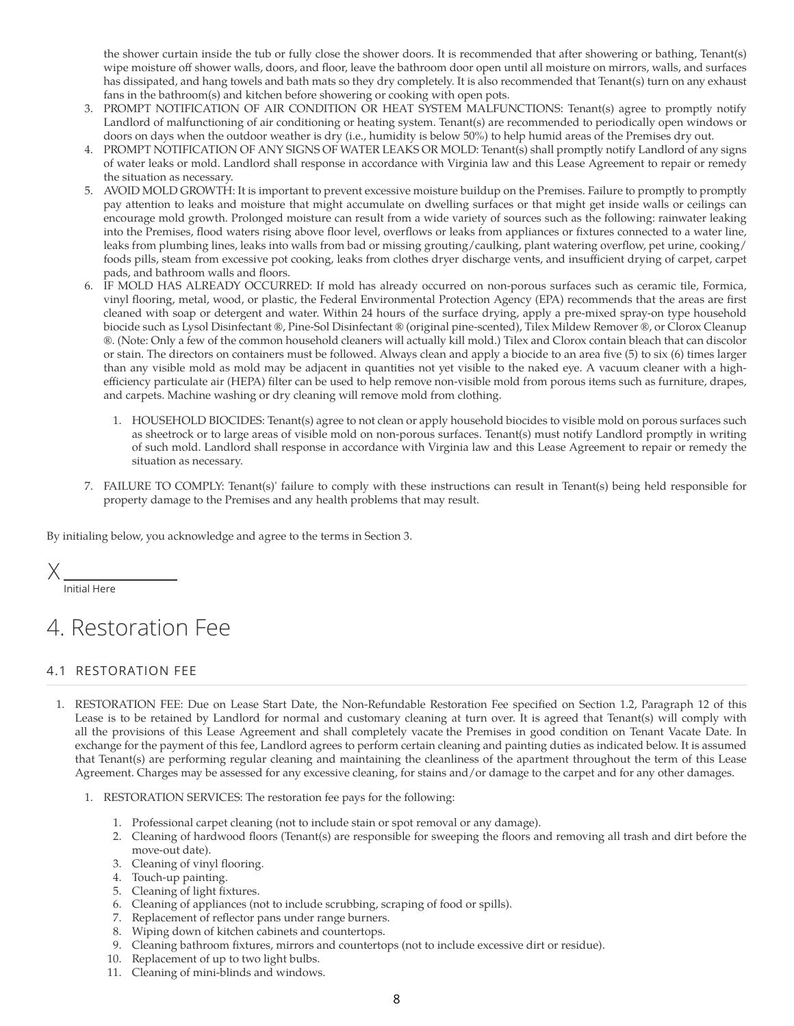the shower curtain inside the tub or fully close the shower doors. It is recommended that after showering or bathing, Tenant(s) wipe moisture off shower walls, doors, and floor, leave the bathroom door open until all moisture on mirrors, walls, and surfaces has dissipated, and hang towels and bath mats so they dry completely. It is also recommended that Tenant(s) turn on any exhaust fans in the bathroom(s) and kitchen before showering or cooking with open pots.

- 3. PROMPT NOTIFICATION OF AIR CONDITION OR HEAT SYSTEM MALFUNCTIONS: Tenant(s) agree to promptly notify Landlord of malfunctioning of air conditioning or heating system. Tenant(s) are recommended to periodically open windows or doors on days when the outdoor weather is dry (i.e., humidity is below 50%) to help humid areas of the Premises dry out.
- 4. PROMPT NOTIFICATION OF ANY SIGNS OF WATER LEAKS OR MOLD: Tenant(s) shall promptly notify Landlord of any signs of water leaks or mold. Landlord shall response in accordance with Virginia law and this Lease Agreement to repair or remedy the situation as necessary.
- 5. AVOID MOLD GROWTH: It is important to prevent excessive moisture buildup on the Premises. Failure to promptly to promptly pay attention to leaks and moisture that might accumulate on dwelling surfaces or that might get inside walls or ceilings can encourage mold growth. Prolonged moisture can result from a wide variety of sources such as the following: rainwater leaking into the Premises, flood waters rising above floor level, overflows or leaks from appliances or fixtures connected to a water line, leaks from plumbing lines, leaks into walls from bad or missing grouting/caulking, plant watering overflow, pet urine, cooking/ foods pills, steam from excessive pot cooking, leaks from clothes dryer discharge vents, and insufficient drying of carpet, carpet pads, and bathroom walls and floors.
- 6. IF MOLD HAS ALREADY OCCURRED: If mold has already occurred on non-porous surfaces such as ceramic tile, Formica, vinyl flooring, metal, wood, or plastic, the Federal Environmental Protection Agency (EPA) recommends that the areas are first cleaned with soap or detergent and water. Within 24 hours of the surface drying, apply a pre-mixed spray-on type household biocide such as Lysol Disinfectant ®, Pine-Sol Disinfectant ® (original pine-scented), Tilex Mildew Remover ®, or Clorox Cleanup ®. (Note: Only a few of the common household cleaners will actually kill mold.) Tilex and Clorox contain bleach that can discolor or stain. The directors on containers must be followed. Always clean and apply a biocide to an area five (5) to six (6) times larger than any visible mold as mold may be adjacent in quantities not yet visible to the naked eye. A vacuum cleaner with a highefficiency particulate air (HEPA) filter can be used to help remove non-visible mold from porous items such as furniture, drapes, and carpets. Machine washing or dry cleaning will remove mold from clothing.
	- 1. HOUSEHOLD BIOCIDES: Tenant(s) agree to not clean or apply household biocides to visible mold on porous surfaces such as sheetrock or to large areas of visible mold on non-porous surfaces. Tenant(s) must notify Landlord promptly in writing of such mold. Landlord shall response in accordance with Virginia law and this Lease Agreement to repair or remedy the situation as necessary.
- 7. FAILURE TO COMPLY: Tenant(s)' failure to comply with these instructions can result in Tenant(s) being held responsible for property damage to the Premises and any health problems that may result.

By initialing below, you acknowledge and agree to the terms in Section 3.

X

Initial Here

# 4. Restoration Fee

#### 4.1 RESTORATION FEE

- 1. RESTORATION FEE: Due on Lease Start Date, the Non-Refundable Restoration Fee specified on Section 1.2, Paragraph 12 of this Lease is to be retained by Landlord for normal and customary cleaning at turn over. It is agreed that Tenant(s) will comply with all the provisions of this Lease Agreement and shall completely vacate the Premises in good condition on Tenant Vacate Date. In exchange for the payment of this fee, Landlord agrees to perform certain cleaning and painting duties as indicated below. It is assumed that Tenant(s) are performing regular cleaning and maintaining the cleanliness of the apartment throughout the term of this Lease Agreement. Charges may be assessed for any excessive cleaning, for stains and/or damage to the carpet and for any other damages.
	- 1. RESTORATION SERVICES: The restoration fee pays for the following:
		- 1. Professional carpet cleaning (not to include stain or spot removal or any damage).
		- 2. Cleaning of hardwood floors (Tenant(s) are responsible for sweeping the floors and removing all trash and dirt before the move-out date).
		- 3. Cleaning of vinyl flooring.
		- 4. Touch-up painting.
		- 5. Cleaning of light fixtures.
		- 6. Cleaning of appliances (not to include scrubbing, scraping of food or spills).
		- 7. Replacement of reflector pans under range burners.
		- 8. Wiping down of kitchen cabinets and countertops.
		- 9. Cleaning bathroom fixtures, mirrors and countertops (not to include excessive dirt or residue).
		- 10. Replacement of up to two light bulbs.
		- 11. Cleaning of mini-blinds and windows.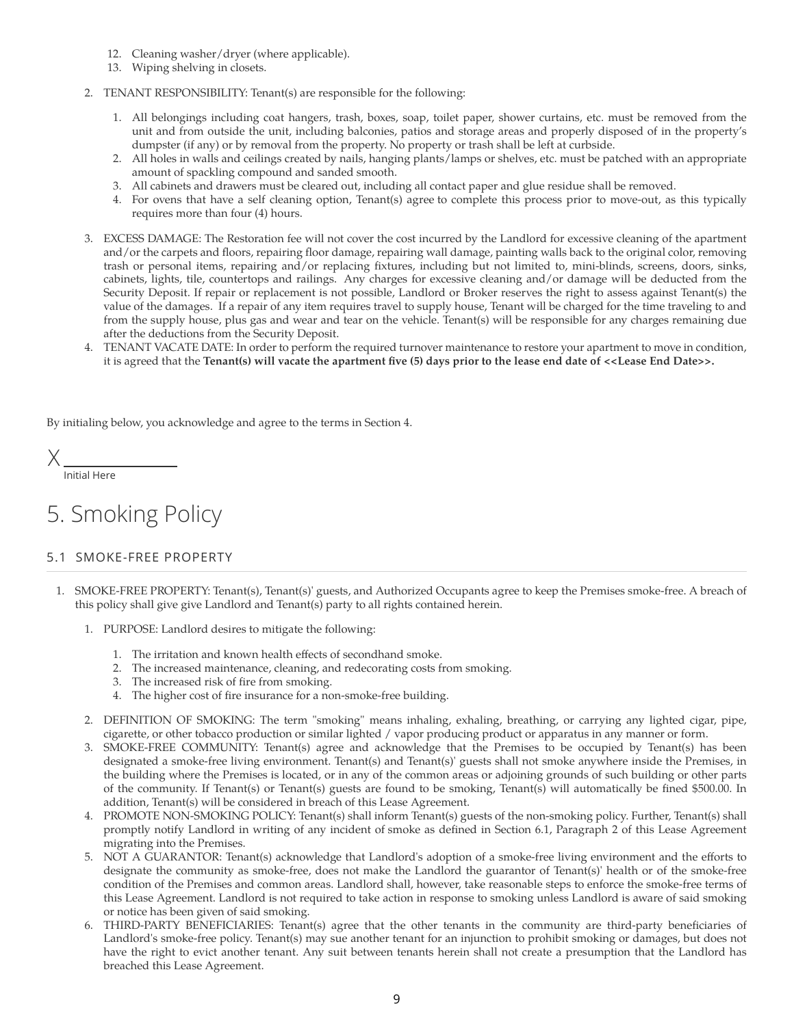- 12. Cleaning washer/dryer (where applicable).
- 13. Wiping shelving in closets.
- 2. TENANT RESPONSIBILITY: Tenant(s) are responsible for the following:
	- 1. All belongings including coat hangers, trash, boxes, soap, toilet paper, shower curtains, etc. must be removed from the unit and from outside the unit, including balconies, patios and storage areas and properly disposed of in the property's dumpster (if any) or by removal from the property. No property or trash shall be left at curbside.
	- 2. All holes in walls and ceilings created by nails, hanging plants/lamps or shelves, etc. must be patched with an appropriate amount of spackling compound and sanded smooth.
	- 3. All cabinets and drawers must be cleared out, including all contact paper and glue residue shall be removed.
	- 4. For ovens that have a self cleaning option, Tenant(s) agree to complete this process prior to move-out, as this typically requires more than four (4) hours.
- 3. EXCESS DAMAGE: The Restoration fee will not cover the cost incurred by the Landlord for excessive cleaning of the apartment and/or the carpets and floors, repairing floor damage, repairing wall damage, painting walls back to the original color, removing trash or personal items, repairing and/or replacing fixtures, including but not limited to, mini-blinds, screens, doors, sinks, cabinets, lights, tile, countertops and railings. Any charges for excessive cleaning and/or damage will be deducted from the Security Deposit. If repair or replacement is not possible, Landlord or Broker reserves the right to assess against Tenant(s) the value of the damages. If a repair of any item requires travel to supply house, Tenant will be charged for the time traveling to and from the supply house, plus gas and wear and tear on the vehicle. Tenant(s) will be responsible for any charges remaining due after the deductions from the Security Deposit.
- 4. TENANT VACATE DATE: In order to perform the required turnover maintenance to restore your apartment to move in condition, it is agreed that the **Tenant(s) will vacate the apartment five (5) days prior to the lease end date of <<Lease End Date>>.**

By initialing below, you acknowledge and agree to the terms in Section 4.

X

#### Initial Here

# 5. Smoking Policy

### 5.1 SMOKE-FREE PROPERTY

- 1. SMOKE-FREE PROPERTY: Tenant(s), Tenant(s)' guests, and Authorized Occupants agree to keep the Premises smoke-free. A breach of this policy shall give give Landlord and Tenant(s) party to all rights contained herein.
	- 1. PURPOSE: Landlord desires to mitigate the following:
		- 1. The irritation and known health effects of secondhand smoke.
		- 2. The increased maintenance, cleaning, and redecorating costs from smoking.
		- 3. The increased risk of fire from smoking.
		- 4. The higher cost of fire insurance for a non-smoke-free building.
	- 2. DEFINITION OF SMOKING: The term "smoking" means inhaling, exhaling, breathing, or carrying any lighted cigar, pipe, cigarette, or other tobacco production or similar lighted / vapor producing product or apparatus in any manner or form.
	- 3. SMOKE-FREE COMMUNITY: Tenant(s) agree and acknowledge that the Premises to be occupied by Tenant(s) has been designated a smoke-free living environment. Tenant(s) and Tenant(s)' guests shall not smoke anywhere inside the Premises, in the building where the Premises is located, or in any of the common areas or adjoining grounds of such building or other parts of the community. If Tenant(s) or Tenant(s) guests are found to be smoking, Tenant(s) will automatically be fined \$500.00. In addition, Tenant(s) will be considered in breach of this Lease Agreement.
	- 4. PROMOTE NON-SMOKING POLICY: Tenant(s) shall inform Tenant(s) guests of the non-smoking policy. Further, Tenant(s) shall promptly notify Landlord in writing of any incident of smoke as defined in Section 6.1, Paragraph 2 of this Lease Agreement migrating into the Premises.
	- 5. NOT A GUARANTOR: Tenant(s) acknowledge that Landlord's adoption of a smoke-free living environment and the efforts to designate the community as smoke-free, does not make the Landlord the guarantor of Tenant(s)' health or of the smoke-free condition of the Premises and common areas. Landlord shall, however, take reasonable steps to enforce the smoke-free terms of this Lease Agreement. Landlord is not required to take action in response to smoking unless Landlord is aware of said smoking or notice has been given of said smoking.
	- 6. THIRD-PARTY BENEFICIARIES: Tenant(s) agree that the other tenants in the community are third-party beneficiaries of Landlord's smoke-free policy. Tenant(s) may sue another tenant for an injunction to prohibit smoking or damages, but does not have the right to evict another tenant. Any suit between tenants herein shall not create a presumption that the Landlord has breached this Lease Agreement.